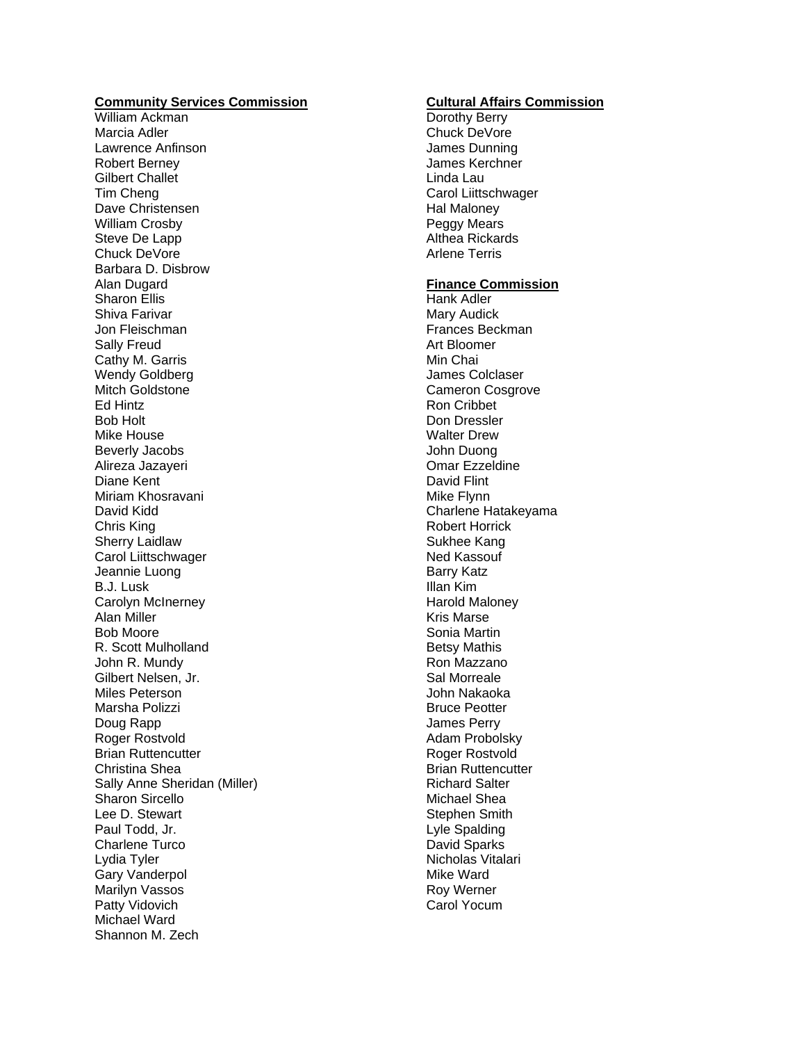## **Community Services Commission**

William Ackman Marcia Adler Lawrence Anfinson Robert Berney Gilbert Challet Tim Cheng Dave Christensen William Crosby Steve De Lapp Chuck DeVore Barbara D. Disbrow Alan Dugard Sharon Ellis Shiva Farivar Jon Fleischman Sally Freud Cathy M. Garris Wendy Goldberg Mitch Goldstone Ed Hintz Bob Holt Mike House Beverly Jacobs Alireza Jazayeri Diane Kent Miriam Khosravani David Kidd Chris King Sherry Laidlaw Carol Liittschwager Jeannie Luong B.J. Lusk Carolyn McInerney Alan Miller Bob Moore R. Scott Mulholland John R. Mundy Gilbert Nelsen, Jr. Miles Peterson Marsha Polizzi Doug Rapp Roger Rostvold Brian Ruttencutter Christina Shea Sally Anne Sheridan (Miller) Sharon Sircello Lee D. Stewart Paul Todd, Jr. Charlene Turco Lydia Tyler Gary Vanderpol Marilyn Vassos Patty Vidovich Michael Ward Shannon M. Zech

## **Cultural Affairs Commission**

Dorothy Berry Chuck DeVore James Dunning James Kerchner Linda Lau Carol Liittschwager Hal Maloney Peggy Mears Althea Rickards Arlene Terris

## **Finance Commission**

Hank Adler Mary Audick Frances Beckman Art Bloomer Min Chai James Colclaser Cameron Cosgrove Ron Cribbet Don Dressler Walter Drew John Duong Omar Ezzeldine David Flint Mike Flynn Charlene Hatakeyama Robert Horrick Sukhee Kang Ned Kassouf Barry Katz Illan Kim Harold Maloney Kris Marse Sonia Martin Betsy Mathis Ron Mazzano Sal Morreale John Nakaoka Bruce Peotter James Perry Adam Probolsky Roger Rostvold Brian Ruttencutter Richard Salter Michael Shea Stephen Smith Lyle Spalding David Sparks Nicholas Vitalari Mike Ward Roy Werner Carol Yocum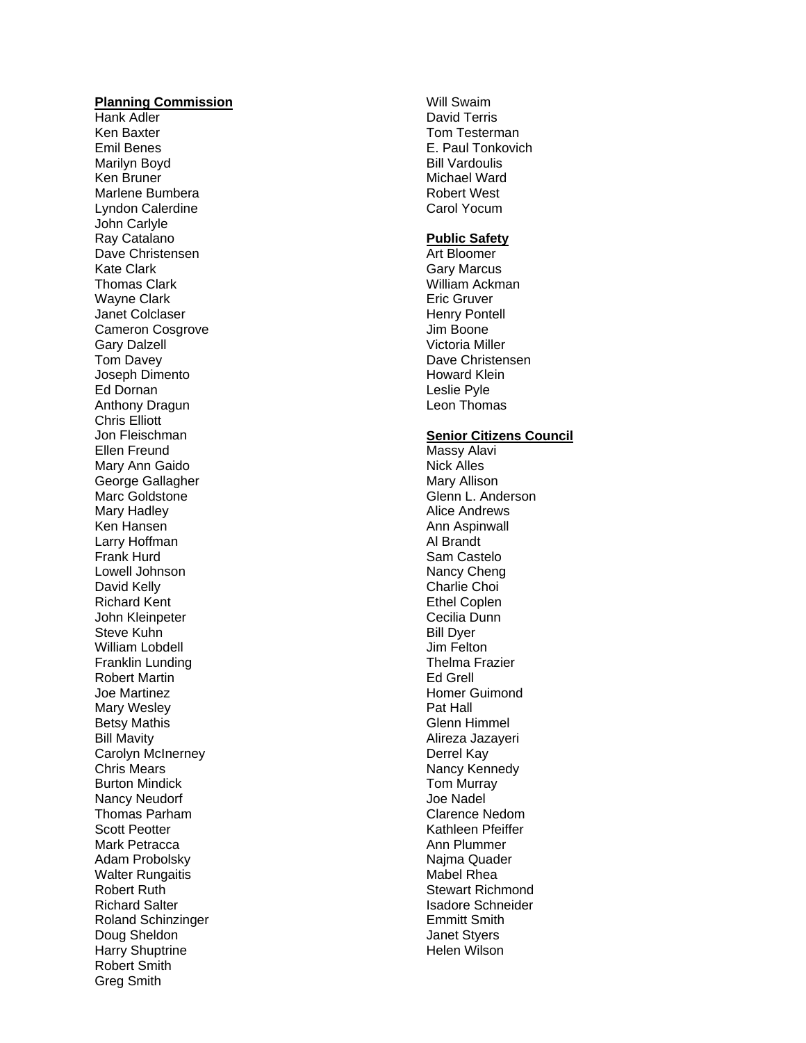#### **Planning Commission**

Hank Adler Ken Baxter Emil Benes Marilyn Boyd Ken Bruner Marlene Bumbera Lyndon Calerdine John Carlyle Ray Catalano Dave Christensen Kate Clark Thomas Clark Wayne Clark Janet Colclaser Cameron Cosgrove Gary Dalzell Tom Davey Joseph Dimento Ed Dornan Anthony Dragun Chris Elliott Jon Fleischman Ellen Freund Mary Ann Gaido George Gallagher Marc Goldstone Mary Hadley Ken Hansen Larry Hoffman Frank Hurd Lowell Johnson David Kelly Richard Kent John Kleinpeter Steve Kuhn William Lobdell Franklin Lunding Robert Martin Joe Martinez Mary Wesley Betsy Mathis Bill Mavity Carolyn McInerney Chris Mears Burton Mindick Nancy Neudorf Thomas Parham Scott Peotter Mark Petracca Adam Probolsky Walter Rungaitis Robert Ruth Richard Salter Roland Schinzinger Doug Sheldon Harry Shuptrine Robert Smith Greg Smith

Will Swaim David Terris Tom Testerman E. Paul Tonkovich Bill Vardoulis Michael Ward Robert West Carol Yocum

#### **Public Safety**

Art Bloomer Gary Marcus William Ackman Eric Gruver Henry Pontell Jim Boone Victoria Miller Dave Christensen Howard Klein Leslie Pyle Leon Thomas

# **Senior Citizens Council**

Massy Alavi Nick Alles Mary Allison Glenn L. Anderson Alice Andrews Ann Aspinwall Al Brandt Sam Castelo Nancy Cheng Charlie Choi Ethel Coplen Cecilia Dunn Bill Dyer Jim Felton Thelma Frazier Ed Grell Homer Guimond Pat Hall Glenn Himmel Alireza Jazayeri Derrel Kay Nancy Kennedy Tom Murray Joe Nadel Clarence Nedom Kathleen Pfeiffer Ann Plummer Najma Quader Mabel Rhea Stewart Richmond Isadore Schneider Emmitt Smith Janet Styers Helen Wilson